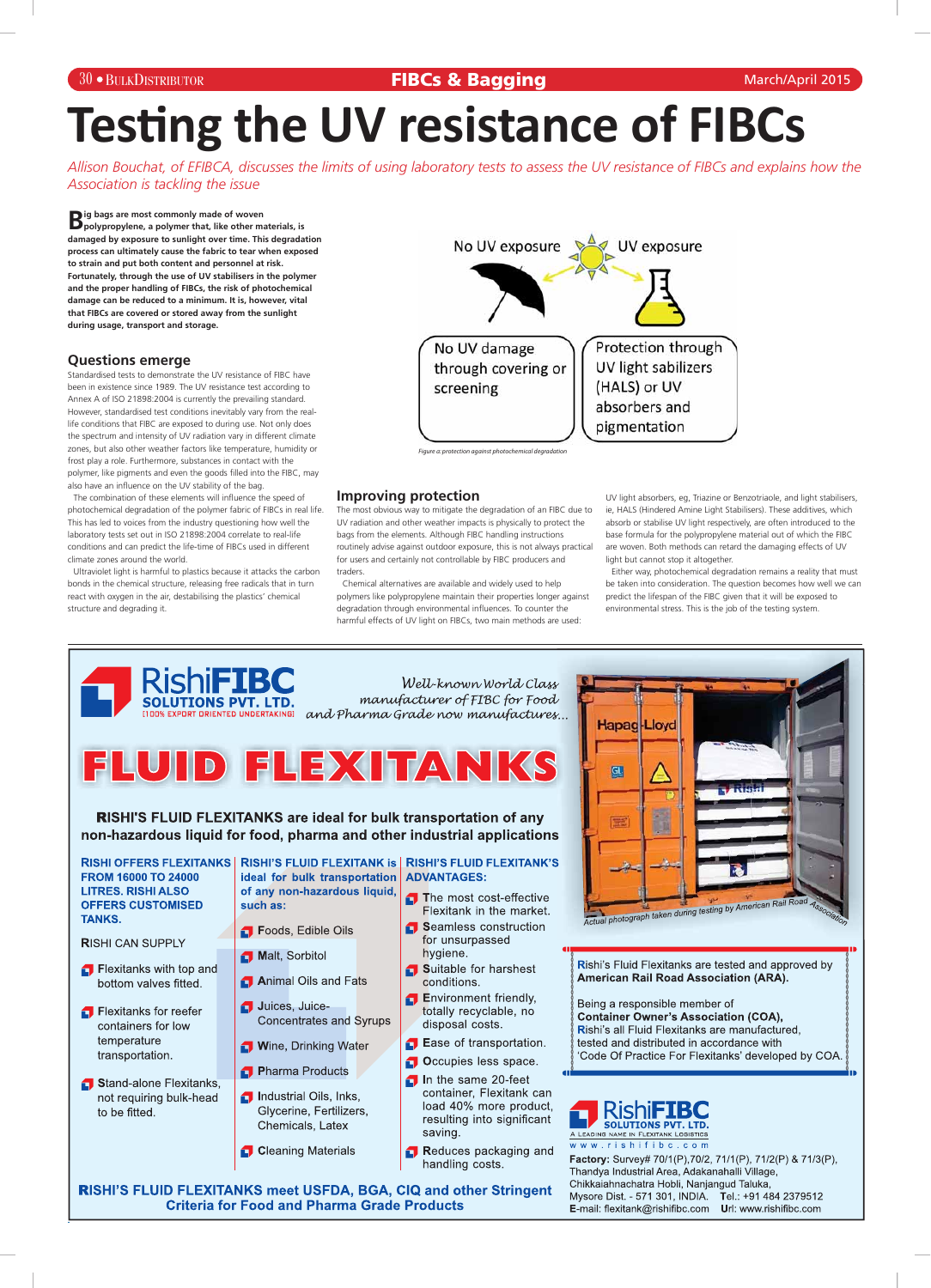### 30 BULKDISTRIBUTOR

### **FIBCs & Bagging** March/April 2015

# **Testing the UV resistance of FIBCs**

*Allison Bouchat, of EFIBCA, discusses the limits of using laboratory tests to assess the UV resistance of FIBCs and explains how the Association is tackling the issue*

**B** ig bags are most commonly made of woven<br>**B** polypropylene, a polymer that, like other materials, is **damaged by exposure to sunlight over time. This degradation process can ultimately cause the fabric to tear when exposed to strain and put both content and personnel at risk. Fortunately, through the use of UV stabilisers in the polymer and the proper handling of FIBCs, the risk of photochemical damage can be reduced to a minimum. It is, however, vital that FIBCs are covered or stored away from the sunlight during usage, transport and storage.**

### **Questions emerge**

Standardised tests to demonstrate the UV resistance of FIBC have been in existence since 1989. The UV resistance test according to Annex A of ISO 21898:2004 is currently the prevailing standard. However, standardised test conditions inevitably vary from the reallife conditions that FIBC are exposed to during use. Not only does the spectrum and intensity of UV radiation vary in different climate zones, but also other weather factors like temperature, humidity or frost play a role. Furthermore, substances in contact with the polymer, like pigments and even the goods filled into the FIBC, may also have an influence on the UV stability of the bag.

The combination of these elements will influence the speed of photochemical degradation of the polymer fabric of FIBCs in real life. This has led to voices from the industry questioning how well the laboratory tests set out in ISO 21898:2004 correlate to real-life conditions and can predict the life-time of FIBCs used in different climate zones around the world.

Ultraviolet light is harmful to plastics because it attacks the carbon bonds in the chemical structure, releasing free radicals that in turn react with oxygen in the air, destabilising the plastics' chemical structure and degrading it.

### **Improving protection**

The most obvious way to mitigate the degradation of an FIBC due to UV radiation and other weather impacts is physically to protect the bags from the elements. Although FIBC handling instructions routinely advise against outdoor exposure, this is not always practical for users and certainly not controllable by FIBC producers and traders.

Chemical alternatives are available and widely used to help polymers like polypropylene maintain their properties longer against degradation through environmental influences. To counter the harmful effects of UV light on FIBCs, two main methods are used:

UV light absorbers, eg, Triazine or Benzotriaole, and light stabilisers, ie, HALS (Hindered Amine Light Stabilisers). These additives, which absorb or stabilise UV light respectively, are often introduced to the base formula for the polypropylene material out of which the FIBC are woven. Both methods can retard the damaging effects of UV light but cannot stop it altogether.

Either way, photochemical degradation remains a reality that must be taken into consideration. The question becomes how well we can predict the lifespan of the FIBC given that it will be exposed to environmental stress. This is the job of the testing system.



RISHI OFFERS FLEXITANKS | RISHI'S FLUID FLEXITANK is | RISHI'S FLUID FLEXITANK'S **FROM 16000 TO 24000 LITRES. RISHI ALSO OFFERS CUSTOMISED TANKS.** 

**RISHI CAN SUPPLY** 

ideal for bulk transportation | ADVANTAGES: of any non-hazardous liquid, such as:

- Foods, Edible Oils
- Malt, Sorbitol

- The most cost-effective Flexitank in the market.
- Seamless construction for unsurpassed hygiene.

**GII** 



 $\Box$  Flexitanks with top and bottom valves fitted.

Flexitanks for reefer containers for low temperature transportation.

Stand-alone Flexitanks, not requiring bulk-head to be fitted.

Animal Oils and Fats

Juices, Juice-**Concentrates and Syrups** 

**Wine, Drinking Water** 

Pharma Products

- *f* Industrial Oils, Inks, Glycerine, Fertilizers, Chemicals, Latex
- **Cleaning Materials**

Suitable for harshest conditions.

**f** Environment friendly, totally recyclable, no disposal costs.

Base of transportation.

Occupies less space.

- $\Box$  In the same 20-feet container, Flexitank can load 40% more product, resulting into significant saving.
- Reduces packaging and handling costs.

Rishi's Fluid Flexitanks are tested and approved by **American Rail Road Association (ARA).** 

Being a responsible member of **Container Owner's Association (COA),** Rishi's all Fluid Flexitanks are manufactured, tested and distributed in accordance with 'Code Of Practice For Flexitanks' developed by COA.



www.rishifibc.com

Factory: Survey# 70/1(P), 70/2, 71/1(P), 71/2(P) & 71/3(P), Thandya Industrial Area, Adakanahalli Village, Chikkaiahnachatra Hobli, Nanjangud Taluka, Mysore Dist. - 571 301, INDIA. Tel.: +91 484 2379512 E-mail: flexitank@rishifibc.com Url: www.rishifibc.com

**RISHI'S FLUID FLEXITANKS meet USFDA, BGA, CIQ and other Stringent Criteria for Food and Pharma Grade Products**